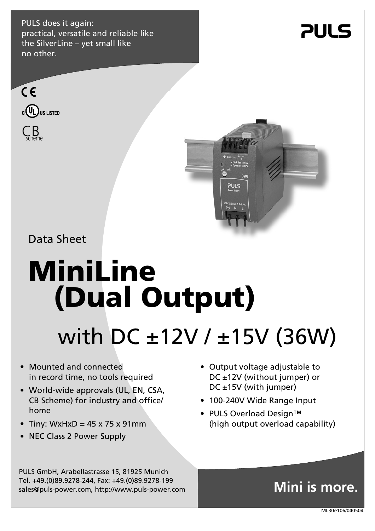PULS does it again: practical, versatile and reliable like the SilverLine – yet small like no other.

## **PULS**





Data Sheet

# **MiniLine (Dual Output)**

## with DC ±12V / ±15V (36W)

- Mounted and connected in record time, no tools required
- World-wide approvals (UL, EN, CSA, CB Scheme) for industry and office/ home
- Tiny: WxHxD =  $45 \times 75 \times 91$ mm
- NEC Class 2 Power Supply
- Output voltage adjustable to DC ±12V (without jumper) or DC ±15V (with jumper)
- 100-240V Wide Range Input
- PULS Overload Design™ (high output overload capability)

PULS GmbH, Arabellastrasse 15, 81925 Munich Tel. +49.(0)89.9278-244, Fax: +49.(0)89.9278-199 sales@puls-power.com, http://www.puls-power.com

### **Mini is more.**